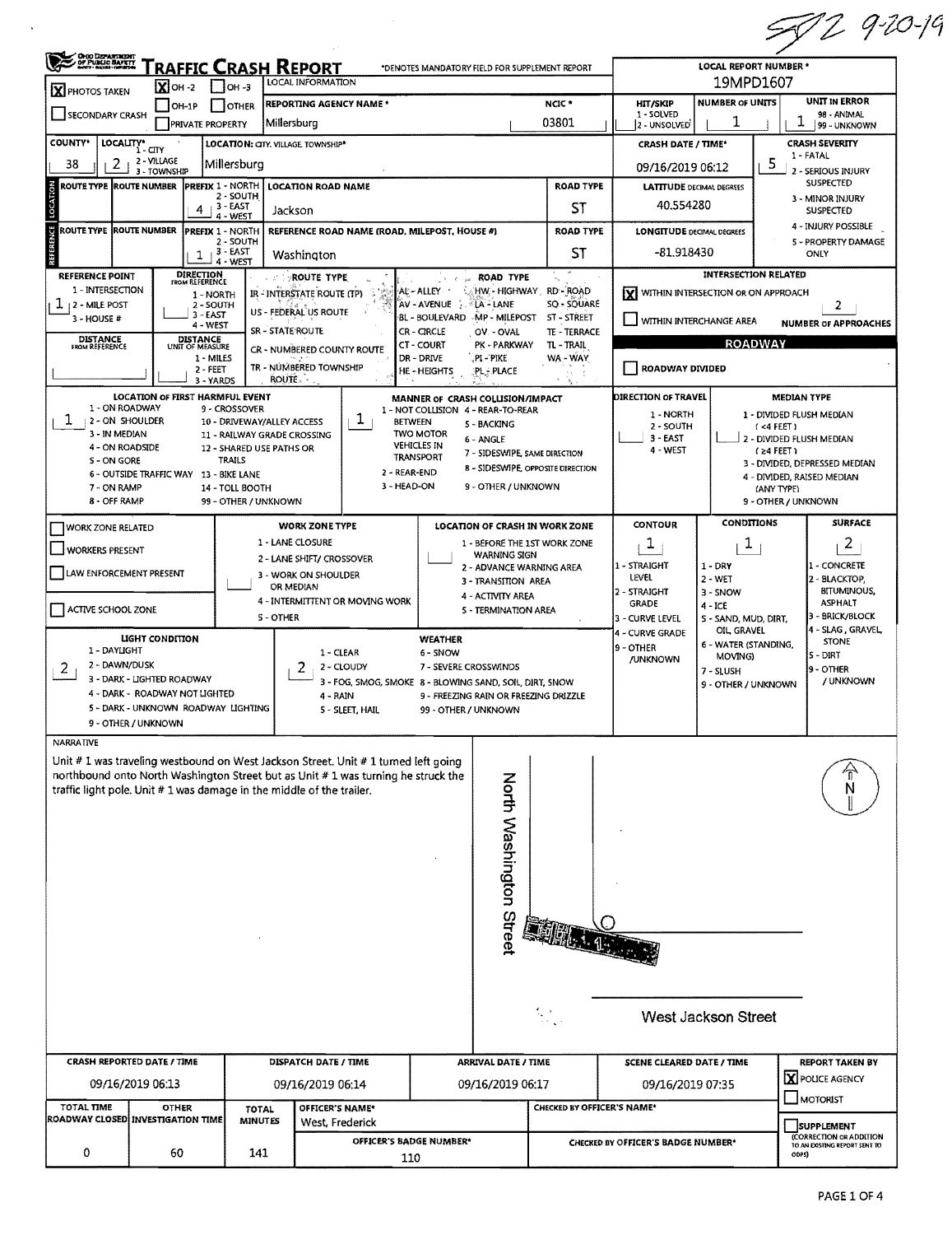|                                                                                     |                                                         |                                               |                                                                                      |                                                 |                                        |                                          | 50292019                                |  |  |  |
|-------------------------------------------------------------------------------------|---------------------------------------------------------|-----------------------------------------------|--------------------------------------------------------------------------------------|-------------------------------------------------|----------------------------------------|------------------------------------------|-----------------------------------------|--|--|--|
| <b>OHIO DEPARTMENT<br/>- OF PUBLIC BAFRYT</b><br>- Metri-Helmi-Francom              | RAFFIC CRASH REPORT                                     |                                               | *DENOTES MANDATORY FIELD FOR SUPPLEMENT REPORT                                       |                                                 |                                        | LOCAL REPORT NUMBER *                    |                                         |  |  |  |
| $\overline{\mathbf{X}}$ OH -2<br>X PHOTOS TAKEN                                     | $1$ OH -3                                               | LOCAL INFORMATION                             |                                                                                      |                                                 |                                        | 19MPD1607<br><b>NUMBER OF UNITS</b>      | UNIT IN ERROR                           |  |  |  |
| $[OH-1P]$<br>SECONDARY CRASH<br>PRIVATE PROPERTY                                    | I OTHER<br>Millersburg                                  | <b>REPORTING AGENCY NAME*</b>                 |                                                                                      | NCIC <sup>*</sup><br>03801                      | HIT/SKIP<br>1 - SOLVED<br>2 - UNSOLVED | 1                                        | 98 - ANIMAL<br>1<br>99 - UNKNOWN        |  |  |  |
| <b>COUNTY</b> *<br>LOCALITY* CITY                                                   | LOCATION: CITY, VILLAGE, TOWNSHIP*                      |                                               |                                                                                      |                                                 | <b>CRASH DATE / TIME*</b>              |                                          | <b>CRASH SEVERITY</b>                   |  |  |  |
| 2 - VILLAGE<br>2<br>38                                                              | Millersburg                                             |                                               |                                                                                      |                                                 | 09/16/2019 06:12                       | 5                                        | 1 - FATAL                               |  |  |  |
| 3 - TOWNSHIP<br>LOCATION<br><b>ROUTE TYPE ROUTE NUMBER</b>                          | <b>PREFIX 1 - NORTH</b>                                 | <b>LOCATION ROAD NAME</b>                     |                                                                                      | <b>ROAD TYPE</b>                                | <b>LATITUDE DECIMAL DEGREES</b>        |                                          | 2 - SERIOUS INJURY<br><b>SUSPECTED</b>  |  |  |  |
| 4                                                                                   | 2 - SOUTH<br>$+3 - EAST$                                | Jackson                                       |                                                                                      | ST                                              | 40.554280                              |                                          | 3 - MINOR INJURY<br><b>SUSPECTED</b>    |  |  |  |
| ROUTE TYPE ROUTE NUMBER                                                             | 4 - WEST<br>PREFIX 1 - NORTH                            | REFERENCE ROAD NAME (ROAD, MILEPOST, HOUSE #) |                                                                                      | <b>ROAD TYPE</b>                                | <b>LONGITUDE DECIMAL DEGREES</b>       |                                          | 4 - INJURY POSSIBLE                     |  |  |  |
|                                                                                     | 2 - SOUTH<br>$1 + 3 - EAST$<br>4 - WEST                 | Washington                                    |                                                                                      | 5 - PROPERTY DAMAGE<br>ST<br>-81.918430<br>ONLY |                                        |                                          |                                         |  |  |  |
| <b>DIRECTION</b><br>FROM REFERENCE<br><b>REFERENCE POINT</b>                        |                                                         | <b>A PROUTE TYPE</b>                          | <b>ROAD TYPE</b>                                                                     |                                                 |                                        | <b>INTERSECTION RELATED</b>              |                                         |  |  |  |
| 1 - INTERSECTION<br>T<br>2 - MILE POST<br>2 - SOUTH                                 | 1 - NORTH                                               | IR-INTERSTATE ROUTE (TP)                      | HW - HIGHWAY RD - ROAD<br>AL-ALLEY<br>AV-AVENUE<br><b>LA-LANE</b>                    | SO - SOUARE                                     | X WITHIN INTERSECTION OR ON APPROACH   |                                          | 2                                       |  |  |  |
| 3 - EAST<br>3 - HOUSE #<br>$4 - WEST$                                               |                                                         | US - FEDERAL US ROUTE                         | BL - BOULEVARD MP - MILEPOST                                                         | ST - STREET                                     | WITHIN INTERCHANGE AREA                |                                          | <b>NUMBER OF APPROACHES</b>             |  |  |  |
| DISTANCE<br>UNIT OF MEASURE<br><b>DISTANCE</b><br>FROM REFERENCE                    | SR - STATE ROUTE                                        | CR - NUMBERED COUNTY ROUTE                    | CR - CIRCLE<br>OV - OVAL<br>PK - PARKWAY<br><b>CT - COURT</b>                        | TE - TERRACE<br>TL - TRAIL                      |                                        | <b>ROADWAY</b>                           |                                         |  |  |  |
| 1 - MILES<br>$2 - FEET$                                                             |                                                         | TR - NÚMBERED TOWNSHIP                        | DR - DRIVE<br>PI-PIKE<br>HE-HEIGHTS<br>PL - PLACE                                    | WA - WAY                                        | ROADWAY DIVIDED                        |                                          |                                         |  |  |  |
|                                                                                     | <b>ROUTE.</b><br>3 - YARDS                              |                                               |                                                                                      |                                                 |                                        |                                          |                                         |  |  |  |
| LOCATION OF FIRST HARMFUL EVENT<br>1 - ON ROADWAY                                   | 9 - CROSSOVER                                           |                                               | MANNER OF CRASH COLLISION/IMPACT<br>1 - NOT COLLISION 4 - REAR-TO-REAR               |                                                 | <b>DIRECTION OF TRAVEL</b>             |                                          | <b>MEDIAN TYPE</b>                      |  |  |  |
| ı<br>2 - ON SHOULDER                                                                | 10 - DRIVEWAY/ALLEY ACCESS                              | ı.<br><b>BETWEEN</b>                          | 5 - BACKING                                                                          |                                                 | 1 - NORTH<br>2 - SOUTH                 |                                          | 1 - DIVIDED FLUSH MEDIAN<br>(4 FEET)    |  |  |  |
| 3 - IN MEDIAN<br>4 - ON ROADSIDE                                                    | 11 - RAILWAY GRADE CROSSING<br>12 - SHARED USE PATHS OR |                                               | <b>TWO MOTOR</b><br>6 - ANGLE<br><b>VEHICLES IN</b><br>7 - SIDESWIPE, SAME DIRECTION |                                                 | 3 - EAST<br>4 - WEST                   |                                          | 2 - DIVIDED FLUSH MEDIAN<br>$(24$ FEET) |  |  |  |
| S - ON GORE<br>6 - OUTSIDE TRAFFIC WAY 13 - BIKE LANE                               | <b>TRAILS</b>                                           | 2 - REAR-END                                  | TRANSPORT<br><b>B - SIDESWIPE, OPPOSITE DIRECTION</b>                                |                                                 |                                        |                                          | 3 - DIVIDED, DEPRESSED MEDIAN           |  |  |  |
| 7 - ON RAMP                                                                         | 14 - TOLL BOOTH                                         | 3 - HEAD-ON                                   | 9 - OTHER / UNKNOWN                                                                  |                                                 |                                        | 4 - DIVIDED, RAISED MEDIAN<br>(ANY TYPE) |                                         |  |  |  |
| 8 - OFF RAMP                                                                        | 99 - OTHER / UNKNOWN                                    |                                               |                                                                                      |                                                 |                                        |                                          | 9 - OTHER / UNKNOWN                     |  |  |  |
| <b>WORK ZONE RELATED</b>                                                            |                                                         | <b>WORK ZONE TYPE</b>                         | <b>LOCATION OF CRASH IN WORK ZONE</b>                                                |                                                 | <b>CONTOUR</b>                         | <b>CONDITIONS</b>                        | <b>SURFACE</b>                          |  |  |  |
| WORKERS PRESENT                                                                     |                                                         | 1 - LANE CLOSURE<br>2 - LANE SHIFT/ CROSSOVER | 1 - BEFORE THE 1ST WORK ZONE<br><b>WARNING SIGN</b>                                  |                                                 | T,                                     | L.                                       | 2                                       |  |  |  |
| LAW ENFORCEMENT PRESENT                                                             |                                                         | 3 - WORK ON SHOULDER                          | 2 - ADVANCE WARNING AREA                                                             |                                                 | 1 - STRAIGHT<br>LEVEL                  | $1 - DRY$<br>$2 - WET$                   | 1 - CONCRETE                            |  |  |  |
|                                                                                     |                                                         | OR MEDIAN<br>4 - INTERMITTENT OR MOVING WORK  | 3 - TRANSITION AREA<br>4 - ACTIVITY AREA                                             |                                                 | 2 - STRAIGHT                           | $3 - SNOW$                               | 2 - BLACKTOP,<br><b>BITUMINOUS,</b>     |  |  |  |
| ACTIVE SCHOOL ZONE                                                                  | 5 - TERMINATION AREA                                    |                                               | <b>GRADE</b><br>3 - CURVE LEVEL                                                      | $4 - ICE$<br>S - SAND, MUD, DIRT,               | ASPHALT<br>3 - BRICK/BLOCK             |                                          |                                         |  |  |  |
| LIGHT CONDITION                                                                     |                                                         |                                               | <b>WEATHER</b>                                                                       |                                                 | 4 - CURVE GRADE                        | OIL GRAVEL                               | 4 - SLAG, GRAVEL                        |  |  |  |
| 1 - DAYLIGHT                                                                        |                                                         | 1 - CLEAR                                     | 6 - SNOW                                                                             |                                                 | 9 - OTHER<br>/UNKNOWN                  | 6 - WATER (STANDING,<br>MOVING)          | <b>STONE</b><br>IS - DIRT               |  |  |  |
| 2 - DAWN/DUSK<br>2<br>3 - DARK - LIGHTED ROADWAY                                    |                                                         | 2<br>2 - CLOUDY                               | 7 - SEVERE CROSSWINDS<br>3 - FOG, SMOG, SMOKE 8 - BLOWING SAND, SOIL, DIRT, SNOW     |                                                 |                                        | 7 - SLUSH                                | 19 - OTHER<br>/ UNKNOWN                 |  |  |  |
| 4 - DARK - ROADWAY NOT LIGHTED                                                      |                                                         | 4 - RAIN                                      | 9 - FREEZING RAIN OR FREEZING DRIZZLE                                                |                                                 |                                        | 9 - OTHER / UNKNOWN                      |                                         |  |  |  |
| 5 - DARK - UNKNOWN ROADWAY LIGHTING<br>9 - OTHER / UNKNOWN                          |                                                         | 5 - SLEET, HAIL                               | 99 - OTHER / UNKNOWN                                                                 |                                                 |                                        |                                          |                                         |  |  |  |
| <b>NARRATIVE</b>                                                                    |                                                         |                                               |                                                                                      |                                                 |                                        |                                          |                                         |  |  |  |
| Unit # 1 was traveling westbound on West Jackson Street. Unit # 1 turned left going |                                                         |                                               |                                                                                      |                                                 |                                        |                                          |                                         |  |  |  |
| northbound onto North Washington Street but as Unit # 1 was turning he struck the   |                                                         |                                               |                                                                                      |                                                 |                                        |                                          |                                         |  |  |  |
| traffic light pole. Unit #1 was damage in the middle of the trailer.                |                                                         |                                               |                                                                                      |                                                 |                                        |                                          | Ν                                       |  |  |  |
|                                                                                     |                                                         |                                               |                                                                                      |                                                 |                                        |                                          |                                         |  |  |  |
|                                                                                     |                                                         |                                               |                                                                                      |                                                 |                                        |                                          |                                         |  |  |  |
|                                                                                     |                                                         |                                               |                                                                                      |                                                 |                                        |                                          |                                         |  |  |  |
|                                                                                     |                                                         |                                               |                                                                                      |                                                 |                                        |                                          |                                         |  |  |  |
|                                                                                     |                                                         |                                               |                                                                                      |                                                 |                                        |                                          |                                         |  |  |  |
|                                                                                     |                                                         |                                               |                                                                                      |                                                 |                                        |                                          |                                         |  |  |  |
|                                                                                     |                                                         |                                               | <b>North Washington Street</b>                                                       |                                                 |                                        |                                          |                                         |  |  |  |
|                                                                                     |                                                         |                                               |                                                                                      |                                                 |                                        |                                          |                                         |  |  |  |
|                                                                                     |                                                         |                                               |                                                                                      |                                                 |                                        |                                          |                                         |  |  |  |
|                                                                                     |                                                         |                                               |                                                                                      |                                                 |                                        |                                          |                                         |  |  |  |
|                                                                                     |                                                         |                                               |                                                                                      | ξ,                                              |                                        | West Jackson Street                      |                                         |  |  |  |
| CRASH REPORTED DATE / TIME                                                          |                                                         | <b>DISPATCH DATE / TIME</b>                   | <b>ARRIVAL DATE / TIME</b>                                                           |                                                 | SCENE CLEARED DATE / TIME              |                                          | <b>REPORT TAKEN BY</b>                  |  |  |  |
|                                                                                     |                                                         |                                               |                                                                                      |                                                 |                                        |                                          | X POLICE AGENCY                         |  |  |  |
| 09/16/2019 06:13<br>TOTAL TIME                                                      |                                                         | 09/16/2019 06:14                              | 09/16/2019 06:17                                                                     | CHECKED BY OFFICER'S NAME*                      | 09/16/2019 07:35                       |                                          | <b>MOTORIST</b>                         |  |  |  |
| <b>OTHER</b><br>ROADWAY CLOSED INVESTIGATION TIME                                   | <b>TOTAL</b><br><b>MINUTES</b>                          | OFFICER'S NAME*<br>West, Frederick            |                                                                                      |                                                 |                                        |                                          | SUPPLEMENT                              |  |  |  |
|                                                                                     |                                                         |                                               |                                                                                      |                                                 |                                        |                                          | (CORRECTION OR ADDITION                 |  |  |  |
| 0<br>60                                                                             | 141                                                     |                                               | OFFICER'S BADGE NUMBER*                                                              |                                                 | CHECKED BY OFFICER'S BADGE NUMBER*     |                                          | TO AN EXISTING REPORT SENT TO           |  |  |  |

 $\mathcal{L}^{\text{max}}$  ,  $\mathcal{L}^{\text{max}}$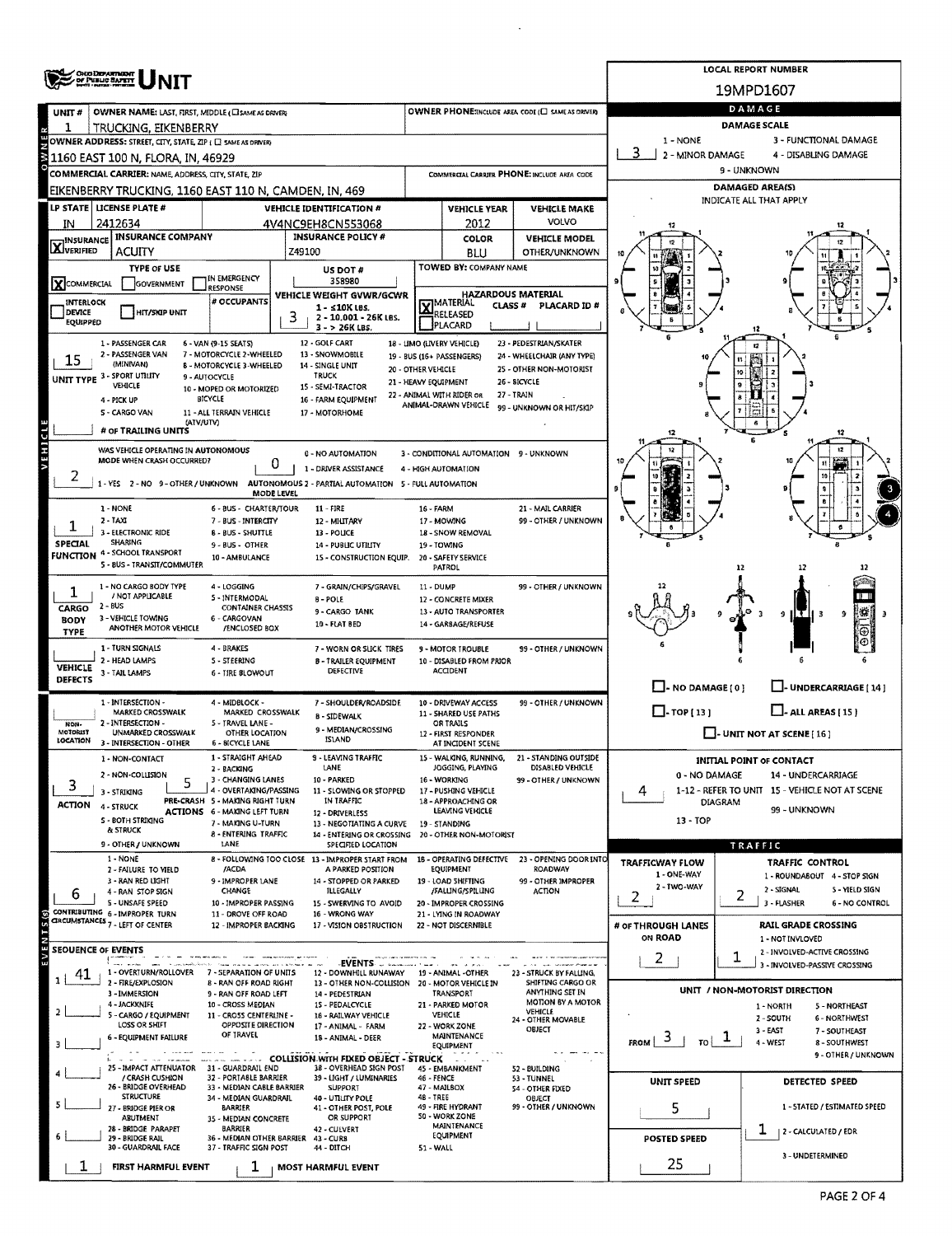|                            | OHO DEPARTMENT<br>OF PUBLIC BAFEIT                                                                 |                                                          | <b>LOCAL REPORT NUMBER</b>                                                                            |                                                               |                                                                  |                                                                  |                                            |                                                                           |  |  |  |  |  |  |
|----------------------------|----------------------------------------------------------------------------------------------------|----------------------------------------------------------|-------------------------------------------------------------------------------------------------------|---------------------------------------------------------------|------------------------------------------------------------------|------------------------------------------------------------------|--------------------------------------------|---------------------------------------------------------------------------|--|--|--|--|--|--|
|                            | NIT                                                                                                |                                                          |                                                                                                       |                                                               |                                                                  |                                                                  | 19MPD1607                                  |                                                                           |  |  |  |  |  |  |
| UNIT#                      | OWNER NAME: LAST, FIRST, MIDDLE (CISAME AS DRIVER)                                                 |                                                          |                                                                                                       |                                                               |                                                                  | OWNER PHONE: INCLUDE AREA CODE (E) SAME AS DRIVER                |                                            | DAMAGE                                                                    |  |  |  |  |  |  |
| 1                          | TRUCKING, EIKENBERRY                                                                               |                                                          |                                                                                                       |                                                               |                                                                  |                                                                  |                                            | <b>DAMAGE SCALE</b><br>3 - FUNCTIONAL DAMAGE                              |  |  |  |  |  |  |
|                            | OWNER ADDRESS: STREET, CITY, STATE, ZIP ( C) SAME AS ORIVERY<br>31160 EAST 100 N, FLORA, IN, 46929 |                                                          |                                                                                                       | $1 - \text{NONE}$<br>2 - MINOR DAMAGE<br>4 - DISABLING DAMAGE |                                                                  |                                                                  |                                            |                                                                           |  |  |  |  |  |  |
|                            | COMMERCIAL CARRIER: NAME, ADDRESS, CITY, STATE, ZIP                                                |                                                          |                                                                                                       |                                                               |                                                                  | COMMERCIAL CARRIER PHONE: INCLUDE AREA CODE                      | 9 - UNKNOWN                                |                                                                           |  |  |  |  |  |  |
|                            | EIKENBERRY TRUCKING, 1160 EAST 110 N, CAMDEN, IN, 469                                              |                                                          |                                                                                                       |                                                               |                                                                  |                                                                  | <b>DAMAGED AREA(S)</b>                     |                                                                           |  |  |  |  |  |  |
|                            | LP STATE   LICENSE PLATE #                                                                         |                                                          | <b>VEHICLE IDENTIFICATION #</b>                                                                       |                                                               | <b>VEHICLE YEAR</b>                                              | <b>VEHICLE MAKE</b>                                              | INDICATE ALL THAT APPLY                    |                                                                           |  |  |  |  |  |  |
| IN                         | 2412634                                                                                            |                                                          | 4V4NC9EH8CN553068                                                                                     |                                                               | 2012                                                             | VOLVO                                                            |                                            |                                                                           |  |  |  |  |  |  |
| <b>X</b> INSURANCE         | <b>INSURANCE COMPANY</b><br><b>ACUITY</b>                                                          |                                                          | <b>INSURANCE POLICY #</b><br>Z49100                                                                   |                                                               | COLOR                                                            | <b>VEHICLE MODEL</b><br>OTHER/UNKNOWN                            |                                            |                                                                           |  |  |  |  |  |  |
|                            | <b>TYPE OF USE</b>                                                                                 |                                                          | US DOT #                                                                                              |                                                               | BLU<br>TOWED BY: COMPANY NAME                                    |                                                                  |                                            |                                                                           |  |  |  |  |  |  |
| <b>X</b> COMMERCIAL        | GOVERNMENT                                                                                         | IN EMERGENCY<br>RESPONSE                                 | 358980                                                                                                |                                                               |                                                                  |                                                                  |                                            |                                                                           |  |  |  |  |  |  |
| INTERLOCK                  |                                                                                                    | # OCCUPANTS                                              | <b>VEHICLE WEIGHT GVWR/GCWR</b><br>1 - ≤10K LBS.                                                      |                                                               | <b>HAZARDOUS MATERIAL</b><br><b>X</b> MATERIAL<br><b>CLASS #</b> | PLACARD ID#                                                      |                                            |                                                                           |  |  |  |  |  |  |
| DEVICE<br>EQUIPPED         | HIT/SIGP UNIT                                                                                      |                                                          | 3<br>2 - 10,001 - 26K LBS.<br>3 - > 26K LBS.                                                          |                                                               | PLACARD                                                          |                                                                  |                                            |                                                                           |  |  |  |  |  |  |
|                            | 1 - PASSENGER CAR                                                                                  | 6 - VAN (9-15 SEATS)                                     | 12 - GOLF CART<br>13 - SNOWMOBILE                                                                     |                                                               | 18 - LIMO (LIVERY VEHICLE)                                       | 23 - PEDESTRIAN/SKATER                                           |                                            |                                                                           |  |  |  |  |  |  |
| 15                         | 2 - PASSENGER VAN<br>7 - MOTORCYCLE 2-WHEELED<br>(MINIVAN)<br><b>B - MOTORCYCLE 3-WHEELED</b>      |                                                          |                                                                                                       |                                                               |                                                                  |                                                                  |                                            |                                                                           |  |  |  |  |  |  |
|                            | UNIT TYPE 3 - SPORT UTILITY<br>VEHICLE                                                             | 9 - AUTOCYCLE<br>10 - MOPED OR MOTORIZED                 | 20 - OTHER VEHICLE<br><b>TRUCK</b><br>21 - HEAVY EQUIPMENT<br>15 - SEMI-TRACTOR                       | 25 - OTHER NON-MOTORIST<br>26 - SICYCLE                       |                                                                  |                                                                  |                                            |                                                                           |  |  |  |  |  |  |
|                            | 4 - PICK UP                                                                                        | <b>BICYCLE</b>                                           | 22 - ANIMAL WITH RIDER OR<br>16 - FARM EQUIPMENT<br>ANIMAL-DRAWN VEHICLE                              | 27 - TRAIN<br>99 - UNKNOWN OR HIT/SKIP                        |                                                                  |                                                                  |                                            |                                                                           |  |  |  |  |  |  |
|                            | S - CARGO VAN<br>(ATV/UTV)                                                                         | 11 - ALL TERRAIN VEHICLE                                 | 17 - MOTORHOME                                                                                        |                                                               |                                                                  |                                                                  |                                            |                                                                           |  |  |  |  |  |  |
|                            | # OF TRAILING UNITS                                                                                |                                                          |                                                                                                       |                                                               |                                                                  |                                                                  |                                            |                                                                           |  |  |  |  |  |  |
|                            | WAS VEHICLE OPERATING IN AUTONOMOUS<br>MODE WHEN CRASH OCCURRED?                                   |                                                          | 0 - NO AUTOMATION<br>0                                                                                | 3 - CONDITIONAL AUTOMATION 9 - UNKNOWN                        |                                                                  | 11                                                               |                                            |                                                                           |  |  |  |  |  |  |
| 2                          | 1-YES 2-NO 9-OTHER/UNKNOWN                                                                         |                                                          | 1 - DRIVER ASSISTANCE<br>4 - HIGH AUTOMATION<br>AUTONOMOUS 2 - PARTIAL AUTOMATION 5 - FULL AUTOMATION |                                                               |                                                                  | 1ň                                                               |                                            |                                                                           |  |  |  |  |  |  |
|                            |                                                                                                    |                                                          | MODE LEVEL                                                                                            |                                                               |                                                                  |                                                                  |                                            |                                                                           |  |  |  |  |  |  |
|                            | 1 - NONE<br>$2 - IAXI$                                                                             | 6 - BUS - CHARTER/TOUR<br>7 - BUS - INTERCITY            | $11 - FIRE$<br>12 - MILITARY                                                                          | 16 - FARM                                                     | 17 - MOWING                                                      | 21 - MAIL CARRIER<br>99 - OTHER / UNKNOWN                        |                                            |                                                                           |  |  |  |  |  |  |
|                            | 3 - ELECTRONIC RIDE                                                                                | <b>B - BUS - SHUTTLE</b>                                 | 13 POLICE                                                                                             |                                                               | 18 - SNOW REMOVAL                                                |                                                                  |                                            |                                                                           |  |  |  |  |  |  |
| SPECIAL<br><b>FUNCTION</b> | <b>SHARING</b><br>4 - SCHOOL TRANSPORT                                                             | 9 - BUS - OTHER<br>10 - AMBULANCE                        | <b>14 - PUBLIC UTILITY</b><br>15 - CONSTRUCTION EQUIP.                                                | 19 - TOWING                                                   | 20 - SAFETY SERVICE                                              |                                                                  |                                            |                                                                           |  |  |  |  |  |  |
|                            | 5 - BUS - TRANSIT/COMMUTER                                                                         |                                                          |                                                                                                       |                                                               | <b>PATROL</b>                                                    |                                                                  |                                            | 12                                                                        |  |  |  |  |  |  |
| 1                          | 1 - NO CARGO BODY TYPE<br>/ NOT APPLICABLE                                                         | 4 - LOGGING<br>5 - INTERMODAL                            | 7 - GRAIN/CHIPS/GRAVEL                                                                                | 11 - DUMP                                                     |                                                                  | 99 - OTHER / UNKNOWN                                             |                                            |                                                                           |  |  |  |  |  |  |
| CARGO                      | $2 - BUS$                                                                                          | <b>CONTAINER CHASSIS</b>                                 | <b>B-POLE</b><br>9 - CARGO TANK                                                                       |                                                               | 12 - CONCRETE MIXER<br>13 - AUTO TRANSPORTER                     |                                                                  |                                            | ILT H<br>-9<br>9<br>- 3                                                   |  |  |  |  |  |  |
| <b>BODY</b><br>TYPE        | 3 - VEHICLE TOWING<br>ANOTHER MOTOR VEHICLE                                                        | 6 - CARGOVAN<br>/ENCLOSED BOX                            | 10 - FLAT BED                                                                                         |                                                               | 14 - GARBAGE/REFUSE                                              |                                                                  |                                            |                                                                           |  |  |  |  |  |  |
|                            | 1 - TURN SIGNALS                                                                                   | 4 - BRAKES                                               | 7 - WORN OR SLICK TIRES                                                                               |                                                               | 9 - MOTOR TROUBLE                                                | 99 - OTHER / UNKNOWN                                             |                                            |                                                                           |  |  |  |  |  |  |
| <b>VEHICLE</b>             | 2 - HEAD LAMPS<br>3 - TAIL LAMPS                                                                   | 5 - STEERING<br><b>6 - TIRE BLOWOUT</b>                  | <b>B-TRAILER EQUIPMENT</b><br><b>DEFECTIVE</b>                                                        |                                                               | 10 - DISABLED FROM PRIOR<br>ACCIDENT                             |                                                                  |                                            |                                                                           |  |  |  |  |  |  |
| DEFECTS                    |                                                                                                    |                                                          |                                                                                                       |                                                               |                                                                  |                                                                  | $\Box$ - NO DAMAGE [ 0 ]                   | UNDERCARRIAGE [14]                                                        |  |  |  |  |  |  |
|                            | 1 - INTERSECTION -<br>MARKED CROSSWALK                                                             | 4 - MIDBLOCK -<br>MARKED CROSSWALK                       | 7 - SHOULDER/ROADSIDE                                                                                 |                                                               | 10 - DRIVEWAY ACCESS<br>11 - SHARED USE PATHS                    | 99 - OTHER / UNKNOWN                                             | $\Box$ -TOP(13)<br>$\Box$ - ALL AREAS [15] |                                                                           |  |  |  |  |  |  |
| NON-<br>MOTORIST           | 2 - INTERSECTION -<br>UNMARKED CROSSWALK                                                           | 5 - TRAVEL LANE -<br>OTHER LOCATION                      | <b>B-SIDEWALK</b><br>9 - MEDIAN/CROSSING                                                              |                                                               | OR TRAILS                                                        |                                                                  | $\bigsqcup$ - UNIT NOT AT SCENE [ 16 ]     |                                                                           |  |  |  |  |  |  |
| LOCATION                   | 3 - INTERSECTION - OTHER                                                                           | 6 - BICYCLE LANE                                         | ISLAND                                                                                                |                                                               | 12 - FIRST RESPONDER<br>AT INCIDENT SCENE                        |                                                                  |                                            |                                                                           |  |  |  |  |  |  |
|                            | 1 - NON-CONTACT                                                                                    | 1 - STRAIGHT AHEAD<br>2 - BACKING                        | 9 - LEAVING TRAFFIC<br>LANE                                                                           |                                                               | JOGGING, PLAYING                                                 | 15 - WALKING, RUNNING, 21 - STANDING OUTSIDE<br>DISABLED VEHICLE |                                            | INITIAL POINT OF CONTACT                                                  |  |  |  |  |  |  |
| З                          | 2 - NON-COLLISION<br>3 - STRIKING                                                                  | 3 - CHANGING LANES<br>4 - OVERTAKING/PASSING             | 10 - PARKED<br>11 - SLOWING OR STOPPED                                                                |                                                               | 16 - WORKING<br>17 - PUSHING VEHICLE                             | 99 - OTHER / UNKNOWN                                             | 0 - NO DAMAGE                              | 14 - UNDERCARRIAGE<br>1-12 - REFER TO UNIT 15 - VEHICLE NOT AT SCENE      |  |  |  |  |  |  |
| <b>ACTION</b>              | 4 - STRUCK                                                                                         | PRE-CRASH 5 - MAKING RIGHT TURN                          | IN TRAFFIC                                                                                            |                                                               | 18 - APPROACHING OR<br>LEAVING VEHICLE                           |                                                                  | 4                                          | DIAGRAM<br>99 - UNKNOWN                                                   |  |  |  |  |  |  |
|                            | S - BOTH STRIKING<br>& STRUCK                                                                      | ACTIONS 6 - MAKING LEFT TURN<br>7 - MAKING U-TURN        | 12 - DRIVERLESS<br>13 - NEGOTIATING A CURVE                                                           |                                                               | 19 - STANDING                                                    |                                                                  | 13 - TOP                                   |                                                                           |  |  |  |  |  |  |
|                            | 9 - OTHER / UNKNOWN                                                                                | 8 - ENTERING TRAFFIC<br>LANE                             | 14 - ENTERING OR CROSSING<br>SPECIFIED LOCATION                                                       |                                                               | 20 - OTHER NON-MOTORIST                                          |                                                                  |                                            | TRAFFIC                                                                   |  |  |  |  |  |  |
|                            | 1 - NONE                                                                                           | /ACDA                                                    | 8 - FOLLOWING TOO CLOSE 13 - IMPROPER START FROM                                                      |                                                               | 18 - OPERATING DEFECTIVE                                         | 23 - OPENING DOOR INTO<br>ROADWAY                                | <b>TRAFFICWAY FLOW</b>                     | <b>TRAFFIC CONTROL</b>                                                    |  |  |  |  |  |  |
|                            | 2 - FAILURE TO VIELD<br>3 - RAN RED LIGHT                                                          | 9 - IMPROPER LANE                                        | A PARKED POSITION<br>14 - STOPPED OR PARKED                                                           |                                                               | EQUIPMENT<br>19 - LOAD SHIFTING                                  | 99 - OTHER IMPROPER                                              | 1 - ONE-WAY<br>2 - TWO-WAY                 | 1 - ROUNDABOUT 4 - STOP SIGN                                              |  |  |  |  |  |  |
| 6                          | 4 - RAN STOP SIGN<br>5 - UNSAFE SPEED                                                              | CHANGE<br>10 - IMPROPER PASSING                          | <b>ILLEGALLY</b><br>15 - SWERVING TO AVOID                                                            |                                                               | /FALLING/SPILLING<br>20 - IMPROPER CROSSING                      | ACTION                                                           | 2.                                         | 2 - SIGNAL<br>5 - YIELD SIGN<br>2<br>3 - FLASHER<br><b>6 - NO CONTROL</b> |  |  |  |  |  |  |
|                            | CONTRIBUTING 6-IMPROPER TURN<br>CIRCUMSTANCES 7 - LEFT OF CENTER                                   | 11 - DROVE OFF ROAD<br>12 - IMPROPER BACKING             | 16 - WRONG WAY<br>17 - VISION OBSTRUCTION                                                             |                                                               | 21 - LYING IN ROADWAY<br>22 - NOT DISCERNIBLE                    |                                                                  | # OF THROUGH LANES                         | <b>RAIL GRADE CROSSING</b>                                                |  |  |  |  |  |  |
|                            |                                                                                                    |                                                          |                                                                                                       |                                                               |                                                                  |                                                                  | ON ROAD                                    | 1 - NOT INVLOVED                                                          |  |  |  |  |  |  |
|                            | <b>SEOUENCE OF EVENTS</b><br>سني ست                                                                |                                                          | EVENTS <b>Section</b>                                                                                 |                                                               |                                                                  |                                                                  | $\mathbf{Z}$                               | 2 - INVOLVED-ACTIVE CROSSING<br>1<br>3 - INVOLVED-PASSIVE CROSSING        |  |  |  |  |  |  |
| 41<br>$\mathbf{1}$         | 1 - OVERTURN/ROLLOVER<br>2 - FIRE/EXPLOSION                                                        | 7 - SEPARATION OF UNITS<br><b>B - RAN OFF ROAD RIGHT</b> | 12 - DOWNHILL RUNAWAY<br>13 - OTHER NON-COLLISION                                                     |                                                               | 19 - ANIMAL - OTHER<br>20 - MOTOR VEHICLE IN                     | 23 - STRUCK BY FALLING,<br>SHIFTING CARGO OR                     |                                            |                                                                           |  |  |  |  |  |  |
|                            | 3 - IMMERSION                                                                                      | 9 - RAN OFF ROAD LEFT                                    | 14 PEDESTRIAN                                                                                         |                                                               | TRANSPORT                                                        | ANYTHING SET IN<br>MOTION BY A MOTOR                             |                                            | UNIT / NON-MOTORIST DIRECTION                                             |  |  |  |  |  |  |
| $\overline{2}$             | 4 - JACKKNIFE<br>5 - CARGO / EQUIPMENT                                                             | 10 - CROSS MEDIAN<br>11 - CROSS CENTERLINE -             | 15 - PEDALCYCLE<br>16 - RAILWAY VEHICLE                                                               |                                                               | 21 - PARKED MOTOR<br>VEHICLE                                     | VEHICLE<br>24 - OTHER MOVABLE                                    |                                            | 5 - NORTHEAST<br>1 - NORTH<br>2 - SOUTH<br>6 - NORTHWEST                  |  |  |  |  |  |  |
|                            | LOSS OR SHIFT<br><b>6 - EQUIPMENT FAILURE</b>                                                      | OPPOSITE DIRECTION<br>OF TRAVEL                          | 17 - ANIMAL FARM<br>18 - ANIMAL - DEER                                                                |                                                               | 22 - WORK ZONE<br><b>MAINTENANCE</b>                             | OBJECT                                                           | э<br>TO                                    | 3 - EAST<br>7 - SOUTHEAST                                                 |  |  |  |  |  |  |
| 3                          | a company                                                                                          |                                                          | <b>LEWIS COLLISION WITH FIXED OBJECT - STRUCK</b>                                                     |                                                               | EQUIPMENT                                                        |                                                                  | FROM                                       | 4 - WEST<br>8 - SOUTHWEST<br>9 - OTHER / UNKNOWN                          |  |  |  |  |  |  |
|                            | 25 - IMPACT ATTENUATOR<br>/ CRASH CUSHION                                                          | 31 - GUARDRAIL END<br>32 - PORTABLE BARRIER              | 38 - OVERHEAD SIGN POST<br>39 - LIGHT / LUMINARIES                                                    | 46 - FENCE                                                    | 45 - EMBANKMENT                                                  | 52 - BUILDING<br>53 - TUNNEL                                     |                                            |                                                                           |  |  |  |  |  |  |
|                            | 26 - BRIDGE OVERHEAD<br><b>STRUCTURE</b>                                                           | 33 - MEDIAN CABLE BARRIER<br>34 - MEDIAN GUARDRAIL       | SUPPORT<br>40 - UTILITY POLE                                                                          | 47 - MAILBOX<br><b>48 - TREE</b>                              |                                                                  | <b>S4 - OTHER FIXED</b><br>OBJECT                                | <b>UNIT SPEED</b>                          | DETECTED SPEED                                                            |  |  |  |  |  |  |
|                            | 27 - BRIDGE PIER OR                                                                                | BARRIER                                                  | 41 - OTHER POST, POLE<br>OR SUPPORT                                                                   |                                                               | 49 - FIRE HYDRANT<br>50 - WORK ZONE                              | 99 - OTHER / UNKNOWN                                             | 5                                          | 1 - STATED / ESTIMATED SPEED                                              |  |  |  |  |  |  |
|                            | <b>ABUTMENT</b><br>28 - BRIDGE PARAPET                                                             | 35 - MEDIAN CONCRETE<br>BARRIER                          | 42 - CULVERT                                                                                          |                                                               | MAINTENANCE<br>EQUIPMENT                                         |                                                                  |                                            | ı<br>  2 - CALCULATED / EDR                                               |  |  |  |  |  |  |
|                            | 29 - BRIDGE RAIL<br>30 - GUARDRAIL FACE                                                            | 36 - MEDIAN OTHER BARRIER<br>37 - TRAFFIC SIGN POST      | 43 - CURB<br>44 - DITCH                                                                               | 51 - WALL                                                     |                                                                  |                                                                  | <b>POSTED SPEED</b>                        |                                                                           |  |  |  |  |  |  |
|                            | FIRST HARMFUL EVENT                                                                                | ı                                                        | MOST HARMFUL EVENT                                                                                    |                                                               |                                                                  |                                                                  | 25                                         | 3 - UNDETERMINED                                                          |  |  |  |  |  |  |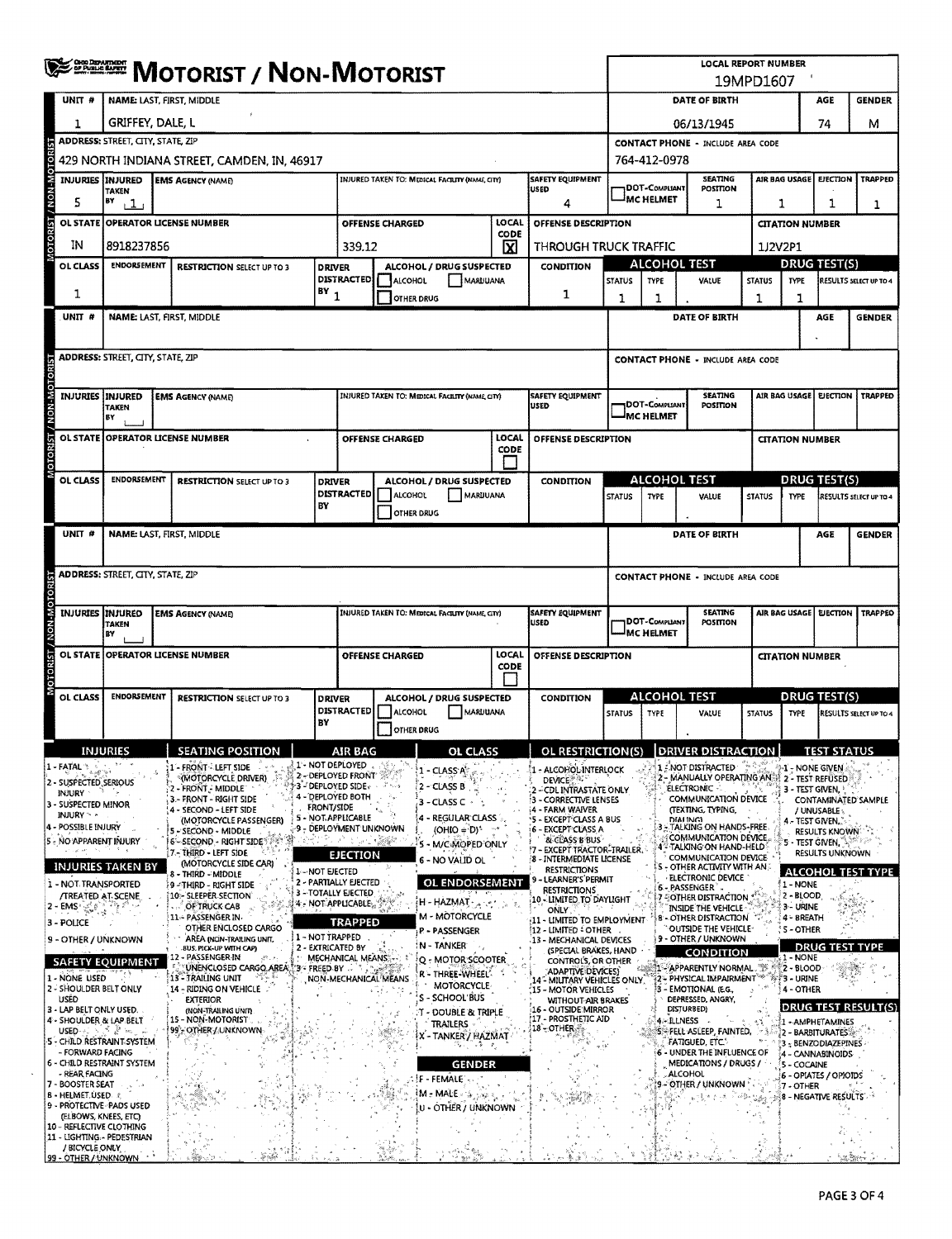|                                                               | <b>ERRICH MOTORIST / NON-MOTORIST</b>    |                                                                        | <b>LOCAL REPORT NUMBER</b><br>19MPD1607  |                                                                                       |                            |                                                 |                        |                                                                         |                                                                                            |                                                                                 |                                                                                                                        |               |                                |                                                                       |                               |  |  |
|---------------------------------------------------------------|------------------------------------------|------------------------------------------------------------------------|------------------------------------------|---------------------------------------------------------------------------------------|----------------------------|-------------------------------------------------|------------------------|-------------------------------------------------------------------------|--------------------------------------------------------------------------------------------|---------------------------------------------------------------------------------|------------------------------------------------------------------------------------------------------------------------|---------------|--------------------------------|-----------------------------------------------------------------------|-------------------------------|--|--|
| UNIT #                                                        |                                          | NAME: LAST, FIRST, MIDDLE                                              |                                          |                                                                                       | DATE OF BIRTH              |                                                 |                        | AGE                                                                     | <b>GENDER</b>                                                                              |                                                                                 |                                                                                                                        |               |                                |                                                                       |                               |  |  |
| 1                                                             | GRIFFEY, DALE, L                         |                                                                        |                                          |                                                                                       |                            |                                                 |                        |                                                                         |                                                                                            |                                                                                 | 06/13/1945                                                                                                             |               |                                | 74                                                                    | м                             |  |  |
|                                                               | <b>ADDRESS: STREET, CITY, STATE, ZIP</b> |                                                                        | <b>CONTACT PHONE - INCLUDE AREA CODE</b> |                                                                                       |                            |                                                 |                        |                                                                         |                                                                                            |                                                                                 |                                                                                                                        |               |                                |                                                                       |                               |  |  |
| eno                                                           |                                          | 429 NORTH INDIANA STREET, CAMDEN, IN, 46917                            | 764-412-0978                             |                                                                                       |                            |                                                 |                        |                                                                         |                                                                                            |                                                                                 |                                                                                                                        |               |                                |                                                                       |                               |  |  |
| <b>M-NON</b>                                                  | <b>INJURIES INJURED</b><br><b>TAKEN</b>  | <b>EMS AGENCY (NAME)</b>                                               |                                          | DOT-COMPLIANT                                                                         | <b>SEATING</b><br>POSITION | AIR BAG USAGE<br><b>EJECTION</b><br>TRAPPED     |                        |                                                                         |                                                                                            |                                                                                 |                                                                                                                        |               |                                |                                                                       |                               |  |  |
| 5                                                             | BY<br>$\perp$                            |                                                                        | 4                                        |                                                                                       | IMC HELMET                 | 1                                               |                        | 1<br>1<br>1                                                             |                                                                                            |                                                                                 |                                                                                                                        |               |                                |                                                                       |                               |  |  |
|                                                               |                                          | OL STATE OPERATOR LICENSE NUMBER                                       | OFFENSE DESCRIPTION                      |                                                                                       |                            |                                                 | <b>CITATION NUMBER</b> |                                                                         |                                                                                            |                                                                                 |                                                                                                                        |               |                                |                                                                       |                               |  |  |
| ΙN                                                            | 8918237856                               |                                                                        |                                          | 339.12                                                                                |                            |                                                 | ⊠                      | THROUGH TRUCK TRAFFIC                                                   |                                                                                            |                                                                                 | <b>ALCOHOL TEST</b>                                                                                                    |               | 1J2V2P1<br><b>DRUG TEST(S)</b> |                                                                       |                               |  |  |
| OL CLASS                                                      | <b>ENDORSEMENT</b>                       | <b>RESTRICTION SELECT UP TO 3</b>                                      |                                          | ALCOHOL / DRUG SUSPECTED<br><b>DRIVER</b><br><b>DISTRACTED</b><br>ALCOHOL<br>MARUUANA |                            |                                                 |                        | <b>CONDITION</b>                                                        | <b>STATUS</b>                                                                              | TYPE                                                                            | VALUE                                                                                                                  | <b>STATUS</b> | <b>TYPE</b>                    |                                                                       | RESULTS SELECT UP TO 4        |  |  |
| 1                                                             |                                          |                                                                        | $BY_1$                                   |                                                                                       |                            | OTHER DRUG                                      |                        | 1                                                                       | $\mathbf 1$                                                                                | 1                                                                               |                                                                                                                        | 1             | 1                              |                                                                       |                               |  |  |
| UNIT <sub>#</sub>                                             |                                          | NAME: LAST, FIRST, MIDDLE                                              |                                          |                                                                                       |                            |                                                 |                        |                                                                         |                                                                                            |                                                                                 | DATE OF BIRTH                                                                                                          |               |                                | AGE                                                                   | <b>GENDER</b>                 |  |  |
|                                                               |                                          |                                                                        |                                          |                                                                                       |                            |                                                 |                        |                                                                         |                                                                                            |                                                                                 |                                                                                                                        |               |                                |                                                                       |                               |  |  |
|                                                               | <b>ADDRESS: STREET, CITY, STATE, ZIP</b> |                                                                        |                                          |                                                                                       |                            |                                                 |                        |                                                                         |                                                                                            |                                                                                 | <b>CONTACT PHONE - INCLUDE AREA CODE</b>                                                                               |               |                                |                                                                       |                               |  |  |
|                                                               | INJURIES INJURED                         | <b>EMS AGENCY (NAME)</b>                                               |                                          |                                                                                       |                            | INJURED TAKEN TO: MEDICAL FACILITY (NAME CITY)  |                        | <b>SAFETY EQUIPMENT</b>                                                 |                                                                                            |                                                                                 | <b>SEATING</b>                                                                                                         |               | AIR BAG USAGE                  | <b>EJECTION</b>                                                       | TRAPPED                       |  |  |
| N-N-M                                                         | <b>TAKEN</b><br>BY                       |                                                                        |                                          |                                                                                       |                            |                                                 |                        | <b>USED</b>                                                             |                                                                                            | <b>IDOT-Compliant</b><br><b>MC HELMET</b>                                       | POSITION                                                                                                               |               |                                |                                                                       |                               |  |  |
|                                                               |                                          | OL STATE OPERATOR LICENSE NUMBER                                       |                                          |                                                                                       | OFFENSE CHARGED            |                                                 | LOCAL                  | <b>OFFENSE DESCRIPTION</b>                                              |                                                                                            |                                                                                 |                                                                                                                        |               | <b>CITATION NUMBER</b>         |                                                                       |                               |  |  |
|                                                               |                                          |                                                                        |                                          |                                                                                       |                            |                                                 | CODE                   |                                                                         |                                                                                            |                                                                                 |                                                                                                                        |               |                                |                                                                       |                               |  |  |
| OL CLASS                                                      | <b>ENDORSEMENT</b>                       | <b>RESTRICTION SELECT UP TO 3</b>                                      | <b>DRIVER</b>                            |                                                                                       |                            | ALCOHOL / DRUG SUSPECTED                        |                        | <b>CONDITION</b>                                                        |                                                                                            |                                                                                 | <b>ALCOHOL TEST</b>                                                                                                    |               | <b>DRUG TEST(S)</b>            |                                                                       |                               |  |  |
|                                                               |                                          |                                                                        | BY                                       | <b>DISTRACTED</b>                                                                     | ALCOHOL                    | MARUUANA                                        |                        |                                                                         | <b>STATUS</b>                                                                              | <b>TYPE</b>                                                                     | VALUE                                                                                                                  | <b>STATUS</b> | <b>TYPE</b>                    |                                                                       | <b>RESULTS SELECT UP TO 4</b> |  |  |
| UNIT <sup>#</sup>                                             |                                          | NAME: LAST, FIRST, MIDDLE                                              |                                          |                                                                                       |                            | OTHER DRUG                                      |                        |                                                                         |                                                                                            |                                                                                 | DATE OF BIRTH                                                                                                          |               |                                | AGE                                                                   | <b>GENDER</b>                 |  |  |
|                                                               |                                          |                                                                        |                                          |                                                                                       |                            |                                                 |                        |                                                                         |                                                                                            |                                                                                 |                                                                                                                        |               |                                |                                                                       |                               |  |  |
|                                                               | <b>ADDRESS: STREET, CITY, STATE, ZIP</b> |                                                                        |                                          |                                                                                       |                            |                                                 |                        |                                                                         | <b>CONTACT PHONE - INCLUDE AREA CODE</b>                                                   |                                                                                 |                                                                                                                        |               |                                |                                                                       |                               |  |  |
|                                                               |                                          |                                                                        |                                          |                                                                                       |                            |                                                 |                        |                                                                         |                                                                                            |                                                                                 |                                                                                                                        |               |                                |                                                                       |                               |  |  |
|                                                               | <b>INJURIES INJURED</b><br>TAKEN         | <b>EMS AGENCY (NAME)</b>                                               |                                          |                                                                                       |                            | INJURED TAKEN TO: MEDICAL FACILITY (NAME, CITY) |                        | SAFETY EQUIPMENT<br>USED                                                | <b>SEATING</b><br>AIR BAG USAGE<br><b>EJECTION</b><br>TRAPPEO<br>DOT-Computant<br>POSITION |                                                                                 |                                                                                                                        |               |                                |                                                                       |                               |  |  |
|                                                               | B٧                                       |                                                                        |                                          |                                                                                       |                            |                                                 |                        |                                                                         |                                                                                            | <b>MC HELMET</b>                                                                |                                                                                                                        |               |                                |                                                                       |                               |  |  |
| OTORIST                                                       |                                          | OL STATE OPERATOR LICENSE NUMBER                                       |                                          | LOCAL<br>OFFENSE CHARGED<br><b>OFFENSE DESCRIPTION</b><br>CODE                        |                            |                                                 |                        |                                                                         |                                                                                            |                                                                                 |                                                                                                                        |               |                                |                                                                       | <b>CITATION NUMBER</b>        |  |  |
| OL CLASS                                                      | <b>ENDORSEMENT</b>                       | <b>RESTRICTION SELECT UP TO 3</b>                                      |                                          |                                                                                       |                            |                                                 |                        | <b>CONDITION</b>                                                        |                                                                                            |                                                                                 | <b>ALCOHOL TEST</b>                                                                                                    |               |                                | <b>DRUG TEST(S)</b>                                                   |                               |  |  |
|                                                               |                                          |                                                                        |                                          | ALCOHOL / DRUG SUSPECTED<br>DRIVER<br><b>DISTRACTED</b><br><b>MARUUANA</b><br>ALCOHOL |                            |                                                 |                        |                                                                         | <b>STATUS</b>                                                                              | <b>TYPE</b>                                                                     | VALUE                                                                                                                  | <b>STATUS</b> | TYPE                           |                                                                       | <b>RESULTS SELECT UP TO 4</b> |  |  |
|                                                               |                                          |                                                                        | BY                                       |                                                                                       |                            | <b>OTHER DRUG</b>                               |                        |                                                                         |                                                                                            |                                                                                 |                                                                                                                        |               |                                |                                                                       |                               |  |  |
|                                                               | <b>INJURIES</b>                          | <b>SEATING POSITION</b>                                                |                                          | AIR BAG                                                                               |                            | <b>OL CLASS</b>                                 |                        |                                                                         |                                                                                            |                                                                                 | OL RESTRICTION(S) DRIVER DISTRACTION                                                                                   |               |                                | <b>TEST STATUS</b>                                                    |                               |  |  |
| 1 - FATAL<br>2 - SUSPECTED SERIOUS                            |                                          | 1 - FRONT - LEFT SIDE<br>(MOTORCYCLE DRIVER)                           | 1 - NOT DEPLOYED                         | 2 - DEPLOYED FRONT<br>ን3 - DEPLOYED SIDE »                                            |                            | 1 - CLASS A<br>2 - CLASS B                      |                        | 1 - ALCOHOL INTERLOCK<br><b>DEVICE</b>                                  |                                                                                            |                                                                                 | 1 : NOT DISTRACTED<br>2 - MANUALLY OPERATING AN # 2 - TEST REFUSED                                                     |               | ्}-1 - NONE GIVEN              |                                                                       |                               |  |  |
| INJURY<br>3 - SUSPECTED MINOR                                 |                                          | 2 - FRONT - MIDDLE<br>3.- FRONT - RIGHT SIDE<br>4 - SECOND - LEFT SIDE | <b>FRONT/SIDE</b>                        | 4 - DEPLOYED BOTH                                                                     |                            | 3 - CLASS C                                     |                        | 2 - CDL INTRASTATE ONLY<br>- CORRECTIVE LENSES<br>ж.<br>4 - FARM WAIVER |                                                                                            |                                                                                 | ELECTRONIC-<br>COMMUNICATION DEVICE<br>(TEXTING, TYPING,                                                               |               | 3 - TEST GIVEN. •              | / UNUSABLE                                                            | CONTAMINATED SAMPLE           |  |  |
| INJURY > -<br>4 - POSSIBLE INJURY                             |                                          | (MOTORCYCLE PASSENGER)<br>5 - SECOND - MIDDLE                          |                                          | 5 - NOT APPLICABLE<br>-9 - DEPLOYMENT UNKNOWN                                         |                            | 4 - REGULAR CLASS<br>$(OHIO = D)^{+}$           |                        | 5 - EXCEPT CLASS A BUS<br>6 - EXCEPT CLASS A                            |                                                                                            |                                                                                 | DIALING)<br>- TALKING ON HANDS-FREE                                                                                    |               | 4 - TEST GIVEN,                | <b>RESULTS KNOWN</b>                                                  |                               |  |  |
| 5 - NO APPARENT INJURY                                        |                                          | <b>6-SECOND - RIGHT SIDE 1997</b><br>7 - THIRD - LEFT SIDE             |                                          | 今回 こうし 議解的                                                                            |                            | S - M/C-MOPED ONLY                              |                        | <b>BLCLASS B BUS</b><br>!7 - EXCEPT TRACTOR-TRAILER.                    |                                                                                            |                                                                                 | COMMUNICATION DEVICE<br>4 TALKING ON HAND-HELD                                                                         |               | 5 - TEST GIVEN,                | <b>RESULTS UNKNOWN</b>                                                |                               |  |  |
|                                                               | <b>INJURIES TAKEN BY</b>                 | (MOTORCYCLE SIDE CAR)<br>8 - THIRD - MIDDLE                            | 1-NOT EJECTED                            | <b>EJECTION</b>                                                                       |                            | 6 - NO VALID OL                                 |                        | /8 - INTERMEDIATE LICENSE<br><b>RESTRICTIONS</b>                        |                                                                                            |                                                                                 | COMMUNICATION DEVICE<br>$\mathsf{S}\text{-}\mathsf{OTHER}\,\mathsf{ACTIVITY}\,\mathsf{WITH}\,\mathsf{AN}\, \mathsf{S}$ |               |                                |                                                                       | <b>ALCOHOL TEST TYPE</b>      |  |  |
| 1 - NOT TRANSPORTED<br><b>/TREATED AT SCENE</b>               |                                          | }9 - THIRD - RIGHT SIDE<br>10:- SLEEPER SECTION                        |                                          | 2 - PARTIALLY EJECTED<br>3 - TOTALLY EJECTED                                          |                            | <b>OL ENDORSEMENT</b>                           |                        | - LEARNER'S PERMIT<br><b>RESTRICTIONS</b>                               |                                                                                            |                                                                                 | ELECTRONIC DEVICE<br>6 - PASSENGER<br>7 FOTHER DISTRACTION                                                             |               | I - NONE<br><b>2 - BLOOD</b>   |                                                                       |                               |  |  |
| 2 - EMS $\mathcal{L}_{\mathbf{w}}^{\mathcal{E}}$ e            |                                          | OF TRUCK CAB<br>11 - PASSENGER IN                                      |                                          | 4 NOT APPLICABLE.                                                                     |                            | н - НАZMAT - 2007<br>M - MOTORCYCLE             | Žα.                    | 10 - LIMITED TO DAYLIGHT<br>ONLY.<br>11 - LIMITED TO EMPLOYMENT         |                                                                                            |                                                                                 | INSIDE THE VEHICLE<br><b>B-OTHER DISTRACTION</b>                                                                       |               | 3- URINE<br>4 - BREATH         |                                                                       |                               |  |  |
| 3 - POLICE<br>9 - OTHER / UNKNOWN                             |                                          | OTHER ENCLOSED CARGO<br>AREA (NON-TRAILING UNIT,                       | 1 - NOT TRAPPED                          | <b>TRAPPED</b>                                                                        |                            | P - PASSENGER                                   |                        | 12 - LIMITED - OTHER<br>13 - MECHANICAL DEVICES                         |                                                                                            |                                                                                 | OUTSIDE THE VEHICLE-<br>9 - OTHER / UNKNOWN                                                                            |               | S - OTHER }                    |                                                                       |                               |  |  |
|                                                               | <b>SAFETY EQUIPMENT</b>                  | BUS. PICK-UP WITH CAP)<br>12 - PASSENGER IN                            | 2 - EXTRICATED BY                        | MECHANICAL MEANS                                                                      |                            | N - TANKER<br>Q - MOTOR SCOOTER                 |                        | (SPECIAL BRAKES, HAND<br>CONTROLS, OR OTHER                             |                                                                                            |                                                                                 | <b>CONDITION</b>                                                                                                       |               | 1 - NONE                       | <b>DRUG TEST TYPE</b>                                                 |                               |  |  |
| 1 - NONE USED                                                 |                                          | 13 - TRAILING UNIT                                                     |                                          |                                                                                       | NON-MECHANICAL MEANS       | R - THREE-WHEEL-<br><b>MOTORCYCLE</b>           |                        | ADAPTIVE DEVICES)<br>14 - MILITARY VEHICLES ONLY                        |                                                                                            |                                                                                 | <b>APPARENTLY NORMAL . WAS 2 - BLOOD</b><br>2 - PHYSICAL IMPAIRMENT ** *** 3 - URINE                                   |               |                                |                                                                       |                               |  |  |
| 2 - SHOULDER BELT ONLY<br>USED<br>3 - LAP BELT ONLY USED.     |                                          | 14 - RIDING ON VEHICLE<br><b>EXTERIOR</b>                              |                                          |                                                                                       |                            | S - SCHOOL'BUS                                  |                        | 15 - MOTOR VEHICLES<br><b>WITHOUT AIR BRAKES</b><br>16 - OUTSIDE MIRROR |                                                                                            |                                                                                 | 3 - EMOTIONAL (E.G.,<br>DEPRESSED, ANGRY,<br>DISTURBED)                                                                |               | ≸4 - OTHER                     |                                                                       | DRUG TEST RESULT(S)           |  |  |
| 4 - SHOULDER & LAP BELT                                       | <b>USED</b> いきぎゃっし                       | (NON-TRAILING UNIT)<br>15 - NON-MOTORIST<br>99 CTHER / UNKNOWN         |                                          |                                                                                       |                            | . T - DOUBLE & TRIPLE<br><b>TRAILERS</b>        |                        | 17 - PROSTHETIC AID<br>18 OTHER:                                        |                                                                                            |                                                                                 | 4: ILLNESS                                                                                                             |               |                                | 1 - AMPHETAMINES                                                      |                               |  |  |
| S - CHILD RESTRAINT SYSTEM<br>- FORWARD FACING                |                                          |                                                                        |                                          |                                                                                       |                            | X - TANKER / HAZMAT                             |                        |                                                                         |                                                                                            | IS FELL ASLEEP, FAINTED,<br><b>FATIGUED, ETC.</b><br>6 - UNDER THE INFLUENCE OF |                                                                                                                        |               |                                | $\,$ 2 - Barbiturates $\,$<br>3 - BENZODIAZEPINES<br>4 - CANNABINOIDS |                               |  |  |
| 6 - CHILD RESTRAINT SYSTEM<br>- REAR FACING                   |                                          |                                                                        |                                          |                                                                                       |                            | <b>GENDER</b>                                   |                        |                                                                         |                                                                                            |                                                                                 | MEDICATIONS / DRUGS /                                                                                                  |               | 5 - COCAINE                    | 6 - OPIATES / OPIOIDS                                                 |                               |  |  |
| 7 - BOOSTER SEAT<br><b>B - HELMET, USED</b> &                 |                                          |                                                                        |                                          |                                                                                       |                            | FF - FEMALE<br>عود (Mie MAEE) هو                |                        |                                                                         | <b>ALCOHOL</b><br>9 - OTHER / UNKNOWN                                                      |                                                                                 |                                                                                                                        |               | 7 - OTHER                      | 8 - NEGATIVE RESULTS'                                                 |                               |  |  |
| 9 - PROTECTIVE PADS USED                                      | (ELBOWS, KNEES, ETC)                     |                                                                        |                                          |                                                                                       |                            | U - OTHER / UNKNOWN                             |                        |                                                                         |                                                                                            |                                                                                 |                                                                                                                        |               |                                |                                                                       |                               |  |  |
| <b>10 - REFLECTIVE CLOTHING</b><br>11 - LIGHTING - PEDESTRIAN |                                          |                                                                        |                                          |                                                                                       |                            |                                                 |                        |                                                                         |                                                                                            |                                                                                 |                                                                                                                        |               |                                |                                                                       |                               |  |  |
| / BICYCLE ONLY<br>99 - OTHER / UNKNOWN                        |                                          | i estas                                                                |                                          |                                                                                       |                            |                                                 |                        |                                                                         |                                                                                            |                                                                                 |                                                                                                                        |               |                                |                                                                       |                               |  |  |

 $\mathcal{L}$